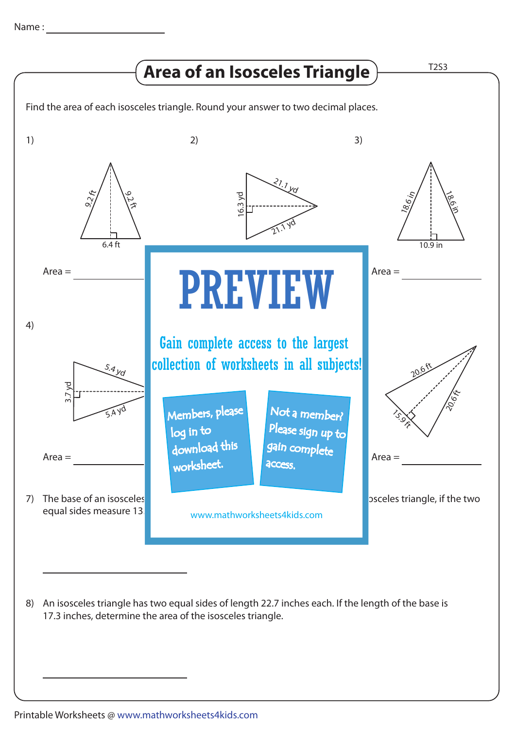